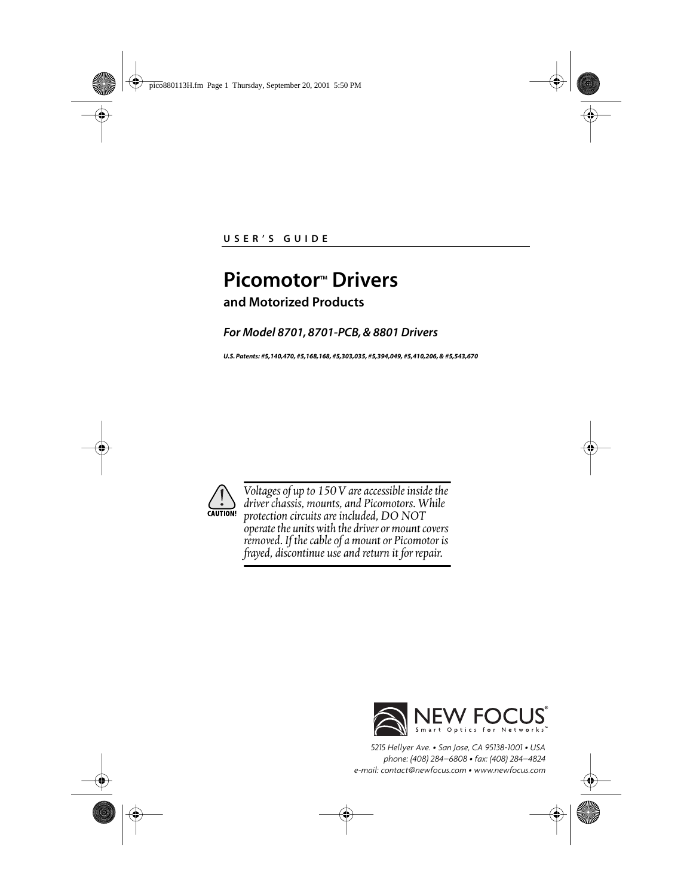

# **Picomotor™ Drivers and Motorized Products**

*For Model 8701, 8701-PCB, & 8801 Drivers*

*U.S. Patents: #5,140,470, #5,168,168, #5,303,035, #5,394,049, #5,410,206, & #5,543,670*



*Voltages of up to 150 V are accessible inside the driver chassis, mounts, and Picomotors. While protection circuits are included, DO NOT operate the units with the driver or mount covers removed. If the cable of a mount or Picomotor is frayed, discontinue use and return it for repair.*



*5215 Hellyer Ave. • San Jose, CA 95138-1001 • USA phone: (408) 284–6808 • fax: (408) 284–4824 e-mail: contact@newfocus.com • www.newfocus.com*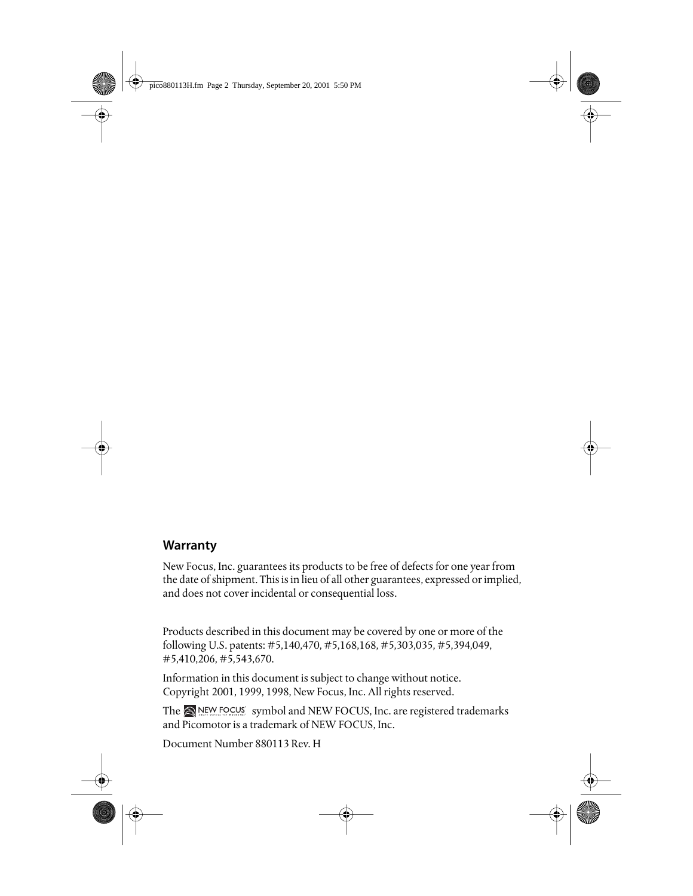#### **Warranty**

New Focus, Inc. guarantees its products to be free of defects for one year from the date of shipment. This is in lieu of all other guarantees, expressed or implied, and does not cover incidental or consequential loss.

Products described in this document may be covered by one or more of the following U.S. patents: #5,140,470, #5,168,168, #5,303,035, #5,394,049, #5,410,206, #5,543,670.

Information in this document is subject to change without notice. Copyright 2001, 1999, 1998, New Focus, Inc. All rights reserved.

The SNEW FOCUS symbol and NEW FOCUS, Inc. are registered trademarks and Picomotor is a trademark of NEW FOCUS, Inc.

Document Number 880113 Rev. H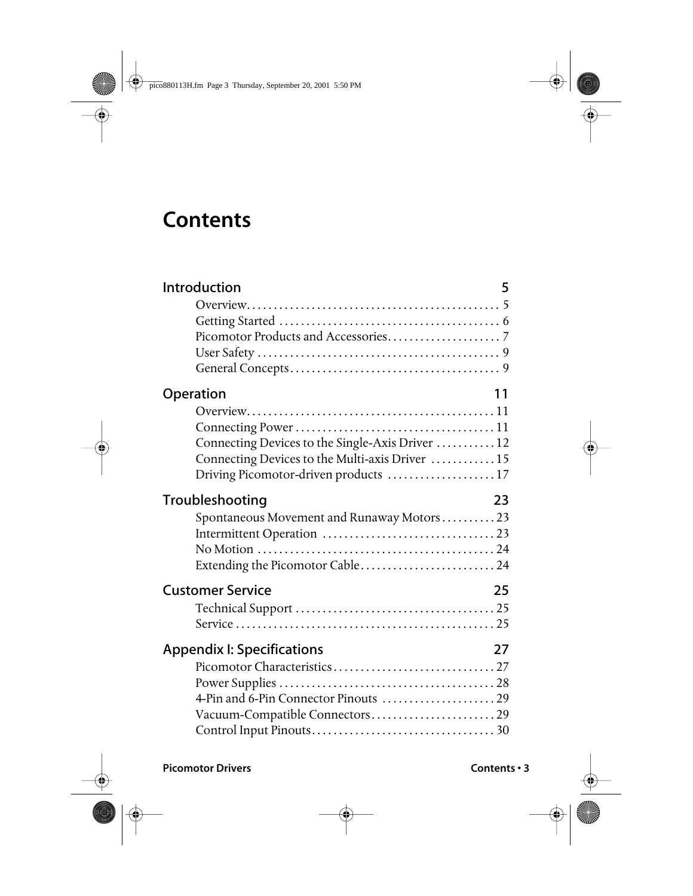# **Contents**

| Introduction                                     | 5  |
|--------------------------------------------------|----|
|                                                  |    |
|                                                  |    |
|                                                  |    |
|                                                  |    |
|                                                  |    |
| Operation                                        | 11 |
|                                                  |    |
|                                                  |    |
| Connecting Devices to the Single-Axis Driver  12 |    |
| Connecting Devices to the Multi-axis Driver  15  |    |
| Driving Picomotor-driven products 17             |    |
| Troubleshooting                                  | 23 |
| Spontaneous Movement and Runaway Motors23        |    |
|                                                  |    |
|                                                  |    |
|                                                  |    |
| <b>Customer Service</b>                          | 25 |
|                                                  |    |
|                                                  |    |
| <b>Appendix I: Specifications</b>                | 27 |
|                                                  |    |
|                                                  |    |
|                                                  |    |
|                                                  |    |
|                                                  |    |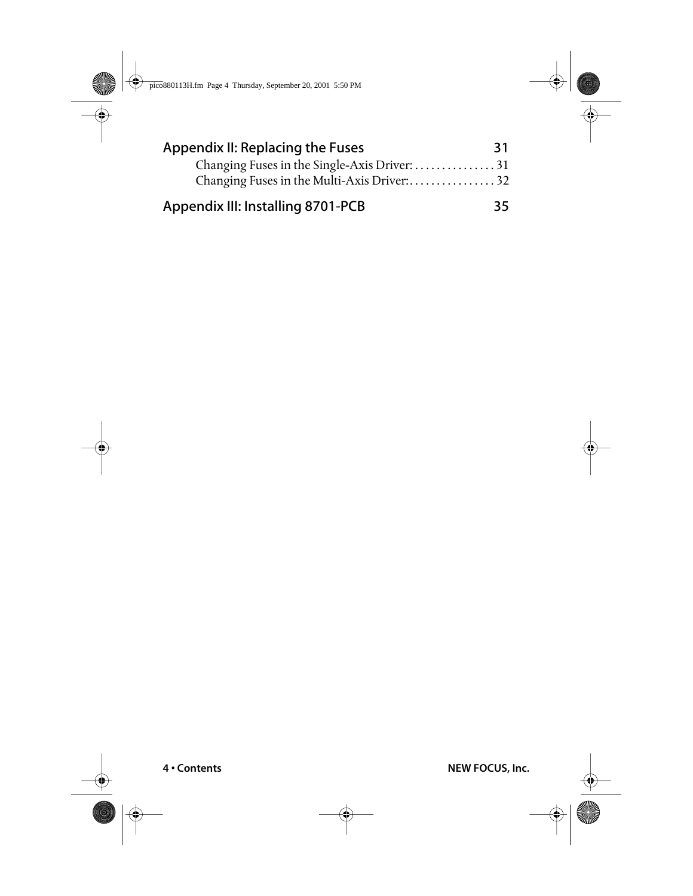| <b>Appendix II: Replacing the Fuses</b>   |    |
|-------------------------------------------|----|
|                                           |    |
| Changing Fuses in the Multi-Axis Driver32 |    |
| Appendix III: Installing 8701-PCB         | 35 |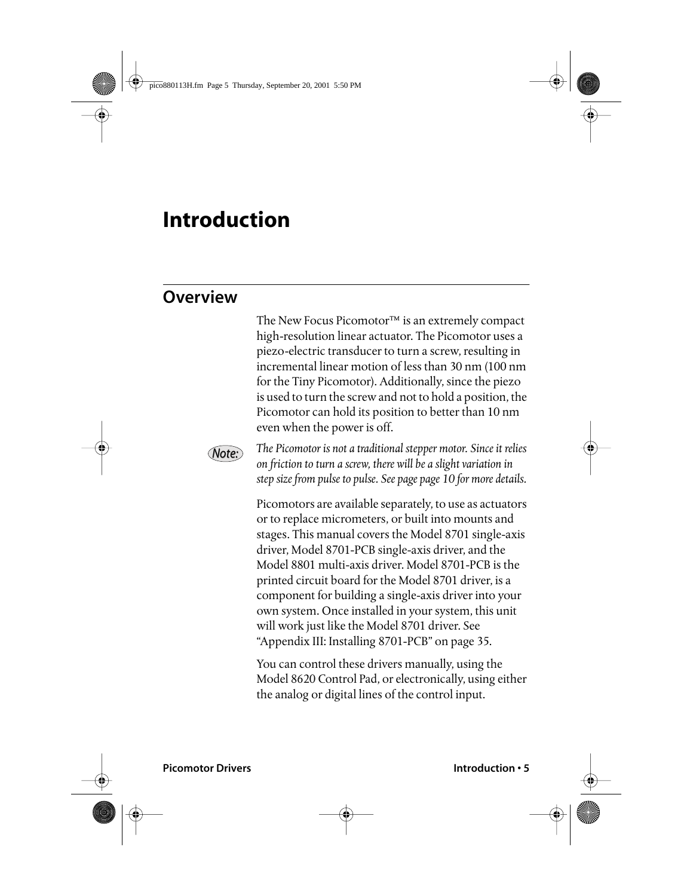# <span id="page-4-0"></span>**Introduction**

## **Overview**

The New Focus Picomotor™ is an extremely compact high-resolution linear actuator. The Picomotor uses a piezo-electric transducer to turn a screw, resulting in incremental linear motion of less than 30 nm (100 nm for the Tiny Picomotor). Additionally, since the piezo is used to turn the screw and not to hold a position, the Picomotor can hold its position to better than 10 nm even when the power is off.



*The Picomotor is not a traditional stepper motor. Since it relies on friction to turn a screw, there will be a slight variation in step size from pulse to pulse. See page [page 10](#page-9-0) for more details.* 

Picomotors are available separately, to use as actuators or to replace micrometers, or built into mounts and stages. This manual covers the Model 8701 single-axis driver, Model 8701-PCB single-axis driver, and the Model 8801 multi-axis driver. Model 8701-PCB is the printed circuit board for the Model 8701 driver, is a component for building a single-axis driver into your own system. Once installed in your system, this unit will work just like the Model 8701 driver. See ["Appendix III: Installing 8701-PCB" on page 35.](#page-34-0)

You can control these drivers manually, using the Model 8620 Control Pad, or electronically, using either the analog or digital lines of the control input.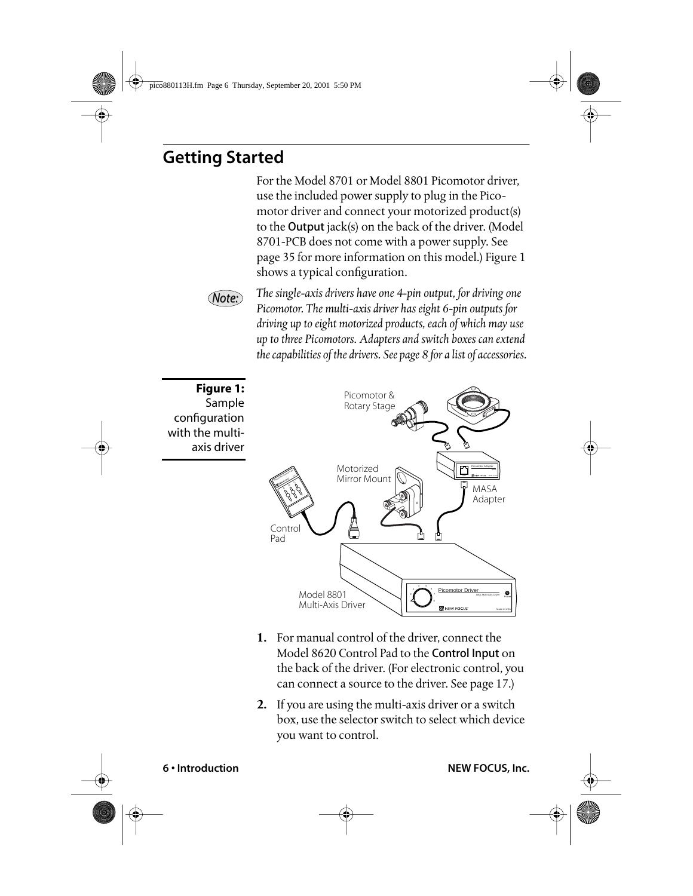# <span id="page-5-0"></span>**Getting Started**

For the Model 8701 or Model 8801 Picomotor driver, use the included power supply to plug in the Picomotor driver and connect your motorized product(s) to the Output jack(s) on the back of the driver. (Model 8701-PCB does not come with a power supply. See [page 35](#page-34-0) for more information on this model.) Figure 1 shows a typical configuration.



*The single-axis drivers have one 4-pin output, for driving one Picomotor. The multi-axis driver has eight 6-pin outputs for driving up to eight motorized products, each of which may use up to three Picomotors. Adapters and switch boxes can extend the capabilities of the drivers. See [page 8](#page-7-0) for a list of accessories.* 





- **1.** For manual control of the driver, connect the Model 8620 Control Pad to the Control Input on the back of the driver. (For electronic control, you can connect a source to the driver. See [page 17.](#page-16-0))
- **2.** If you are using the multi-axis driver or a switch box, use the selector switch to select which device you want to control.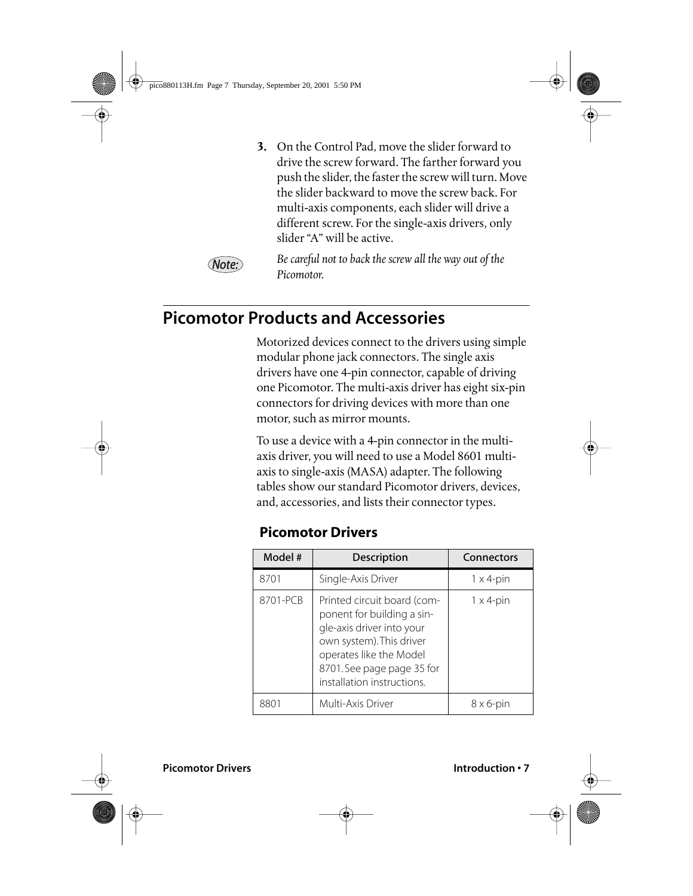<span id="page-6-0"></span>**3.** On the Control Pad, move the slider forward to drive the screw forward. The farther forward you push the slider, the faster the screw will turn. Move the slider backward to move the screw back. For multi-axis components, each slider will drive a different screw. For the single-axis drivers, only slider "A" will be active.



*Be careful not to back the screw all the way out of the Picomotor.*

# **Picomotor Products and Accessories**

Motorized devices connect to the drivers using simple modular phone jack connectors. The single axis drivers have one 4-pin connector, capable of driving one Picomotor. The multi-axis driver has eight six-pin connectors for driving devices with more than one motor, such as mirror mounts.

To use a device with a 4-pin connector in the multiaxis driver, you will need to use a Model 8601 multiaxis to single-axis (MASA) adapter. The following tables show our standard Picomotor drivers, devices, and, accessories, and lists their connector types.

## **Picomotor Drivers**

| Model #  | Description                                                                                                                                                                                               | Connectors        |
|----------|-----------------------------------------------------------------------------------------------------------------------------------------------------------------------------------------------------------|-------------------|
| 8701     | Single-Axis Driver                                                                                                                                                                                        | $1 \times 4$ -pin |
| 8701-PCB | Printed circuit board (com-<br>ponent for building a sin-<br>gle-axis driver into your<br>own system). This driver<br>operates like the Model<br>8701. See page page 35 for<br>installation instructions. | $1 \times 4$ -pin |
| 8801     | Multi-Axis Driver                                                                                                                                                                                         | $8 \times 6$ -pin |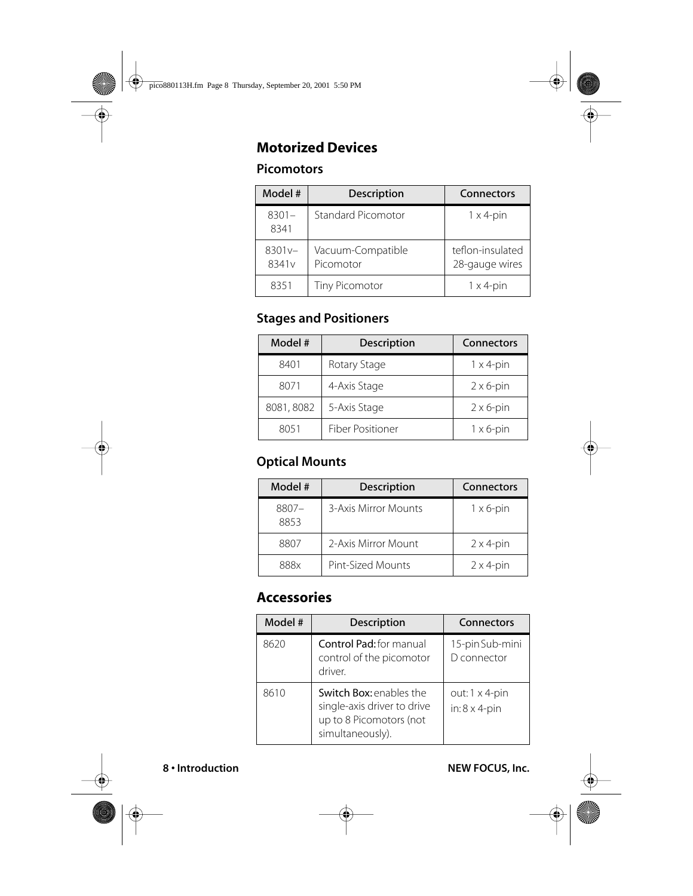## <span id="page-7-0"></span>**Motorized Devices**

#### **Picomotors**

| Model #                        | Description                    | Connectors                         |
|--------------------------------|--------------------------------|------------------------------------|
| $8301 -$<br>8341               | Standard Picomotor             | $1 \times 4$ -pin                  |
| $8301v -$<br>8341 <sub>v</sub> | Vacuum-Compatible<br>Picomotor | teflon-insulated<br>28-gauge wires |
| 8351                           | Tiny Picomotor                 | $1 \times 4$ -pin                  |

### **Stages and Positioners**

| Model #    | Description             | Connectors        |
|------------|-------------------------|-------------------|
| 8401       | Rotary Stage            | $1 \times 4$ -pin |
| 8071       | 4-Axis Stage            | $2 \times 6$ -pin |
| 8081, 8082 | 5-Axis Stage            | $2 \times 6$ -pin |
| 8051       | <b>Fiber Positioner</b> | $1 \times 6$ -pin |

### **Optical Mounts**

| Model #       | Description          | Connectors        |
|---------------|----------------------|-------------------|
| 8807-<br>8853 | 3-Axis Mirror Mounts | $1 \times 6$ -pin |
| 8807          | 2-Axis Mirror Mount  | $2 \times 4$ -pin |
| 888x          | Pint-Sized Mounts    | $2 \times 4$ -pin |

## **Accessories**

| Model # | Description                                                                                                  | <b>Connectors</b>                               |
|---------|--------------------------------------------------------------------------------------------------------------|-------------------------------------------------|
| 8620    | Control Pad: for manual<br>control of the picomotor<br>driver.                                               | 15-pinSub-mini<br>D connector                   |
| 8610    | <b>Switch Box: enables the</b><br>single-axis driver to drive<br>up to 8 Picomotors (not<br>simultaneously). | out: $1 \times 4$ -pin<br>$in: 8 \times 4$ -pin |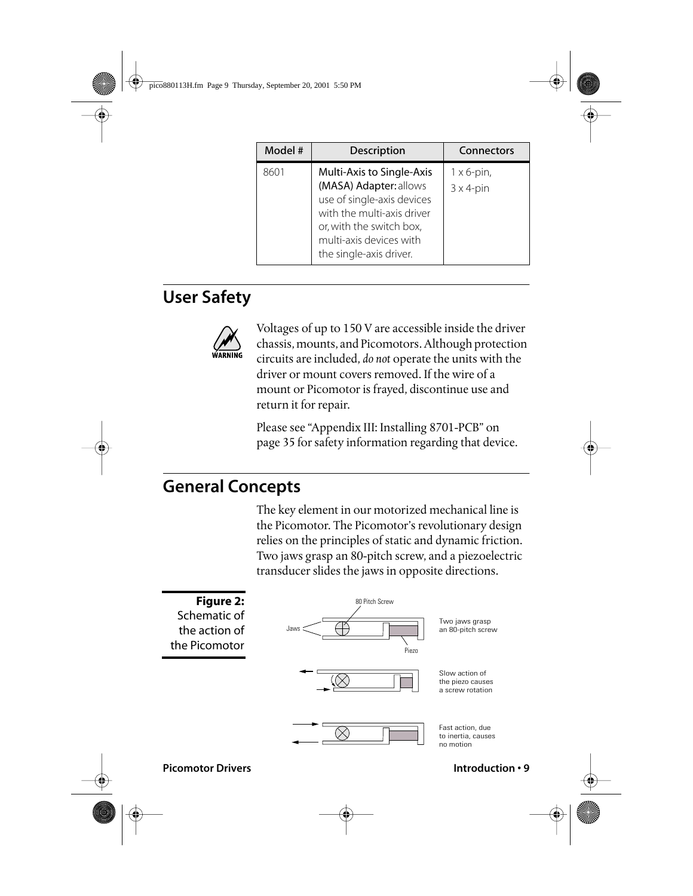<span id="page-8-0"></span>

| Model # | Description                                                                                                                                                                                       | Connectors                              |
|---------|---------------------------------------------------------------------------------------------------------------------------------------------------------------------------------------------------|-----------------------------------------|
| 8601    | Multi-Axis to Single-Axis<br>(MASA) Adapter: allows<br>use of single-axis devices<br>with the multi-axis driver<br>or, with the switch box,<br>multi-axis devices with<br>the single-axis driver. | $1 \times 6$ -pin,<br>$3 \times 4$ -pin |

# **User Safety**



Voltages of up to 150 V are accessible inside the driver chassis, mounts, and Picomotors. Although protection circuits are included, *do not* operate the units with the driver or mount covers removed. If the wire of a mount or Picomotor is frayed, discontinue use and return it for repair.

Please see ["Appendix III: Installing 8701-PCB" on](#page-34-0)  [page 35](#page-34-0) for safety information regarding that device.

## **General Concepts**

The key element in our motorized mechanical line is the Picomotor. The Picomotor's revolutionary design relies on the principles of static and dynamic friction. Two jaws grasp an 80-pitch screw, and a piezoelectric transducer slides the jaws in opposite directions.

**Figure 2:** Schematic of the action of the Picomotor Two jaws grasp an 80-pitch screw Slow action of the piezo causes a screw rotation Fast action, due to inertia, causes no motion Jaws Piezo 80 Pitch Screw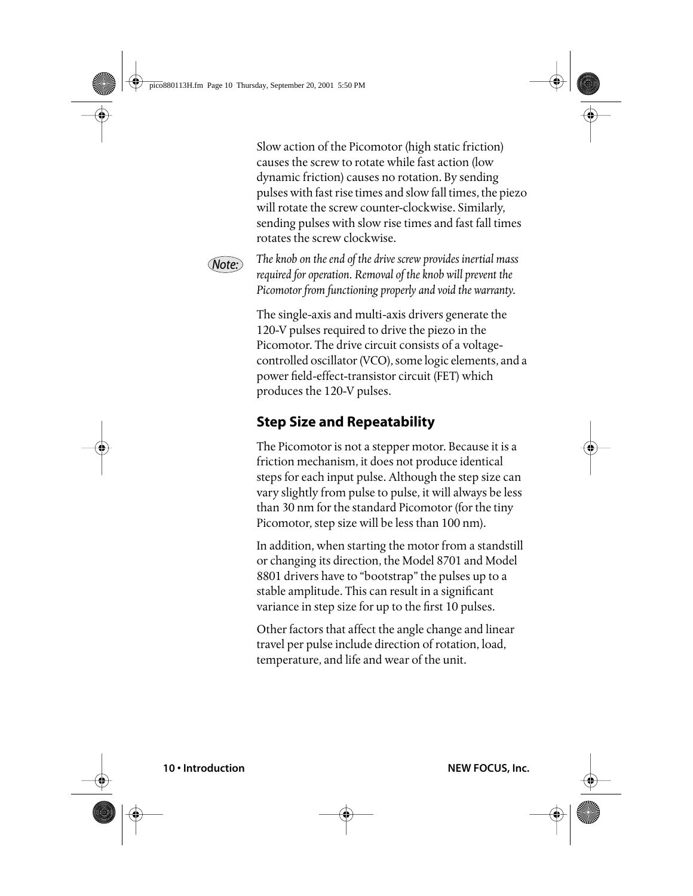<span id="page-9-0"></span>Slow action of the Picomotor (high static friction) causes the screw to rotate while fast action (low dynamic friction) causes no rotation. By sending pulses with fast rise times and slow fall times, the piezo will rotate the screw counter-clockwise. Similarly, sending pulses with slow rise times and fast fall times rotates the screw clockwise.



*The knob on the end of the drive screw provides inertial mass required for operation. Removal of the knob will prevent the Picomotor from functioning properly and void the warranty.*

The single-axis and multi-axis drivers generate the 120-V pulses required to drive the piezo in the Picomotor. The drive circuit consists of a voltagecontrolled oscillator (VCO), some logic elements, and a power field-effect-transistor circuit (FET) which produces the 120-V pulses.

## **Step Size and Repeatability**

The Picomotor is not a stepper motor. Because it is a friction mechanism, it does not produce identical steps for each input pulse. Although the step size can vary slightly from pulse to pulse, it will always be less than 30 nm for the standard Picomotor (for the tiny Picomotor, step size will be less than 100 nm).

In addition, when starting the motor from a standstill or changing its direction, the Model 8701 and Model 8801 drivers have to "bootstrap" the pulses up to a stable amplitude. This can result in a significant variance in step size for up to the first 10 pulses.

Other factors that affect the angle change and linear travel per pulse include direction of rotation, load, temperature, and life and wear of the unit.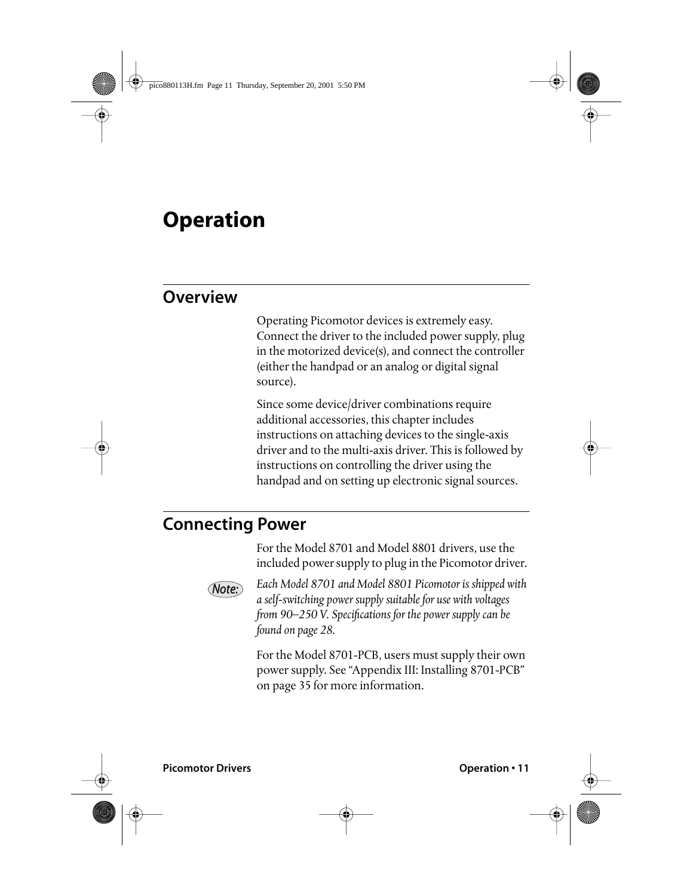# <span id="page-10-0"></span>**Operation**

## **Overview**

Operating Picomotor devices is extremely easy. Connect the driver to the included power supply, plug in the motorized device(s), and connect the controller (either the handpad or an analog or digital signal source).

Since some device/driver combinations require additional accessories, this chapter includes instructions on attaching devices to the single-axis driver and to the multi-axis driver. This is followed by instructions on controlling the driver using the handpad and on setting up electronic signal sources.

### **Connecting Power**

For the Model 8701 and Model 8801 drivers, use the included power supply to plug in the Picomotor driver.



*Each Model 8701 and Model 8801 Picomotor is shipped with a self-switching power supply suitable for use with voltages from 90–250 V. Specifications for the power supply can be found on [page 28.](#page-27-0)*

For the Model 8701-PCB, users must supply their own power supply. See ["Appendix III: Installing 8701-PCB"](#page-34-0)  [on page 35](#page-34-0) for more information.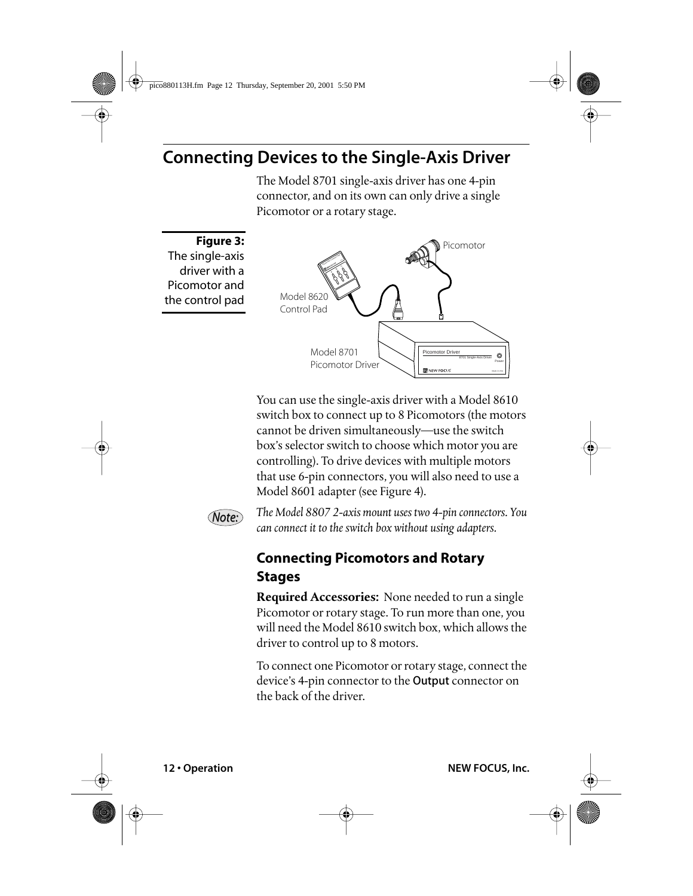# <span id="page-11-0"></span>**Connecting Devices to the Single-Axis Driver**

The Model 8701 single-axis driver has one 4-pin connector, and on its own can only drive a single Picomotor or a rotary stage.



You can use the single-axis driver with a Model 8610 switch box to connect up to 8 Picomotors (the motors cannot be driven simultaneously—use the switch box's selector switch to choose which motor you are controlling). To drive devices with multiple motors that use 6-pin connectors, you will also need to use a Model 8601 adapter (see [Figure 4\)](#page-12-0).



*The Model 8807 2-axis mount uses two 4-pin connectors. You can connect it to the switch box without using adapters.*

## **Connecting Picomotors and Rotary Stages**

**Required Accessories:** None needed to run a single Picomotor or rotary stage. To run more than one, you will need the Model 8610 switch box, which allows the driver to control up to 8 motors.

To connect one Picomotor or rotary stage, connect the device's 4-pin connector to the Output connector on the back of the driver.

**Figure 3:** The single-axis driver with a Picomotor and the control pad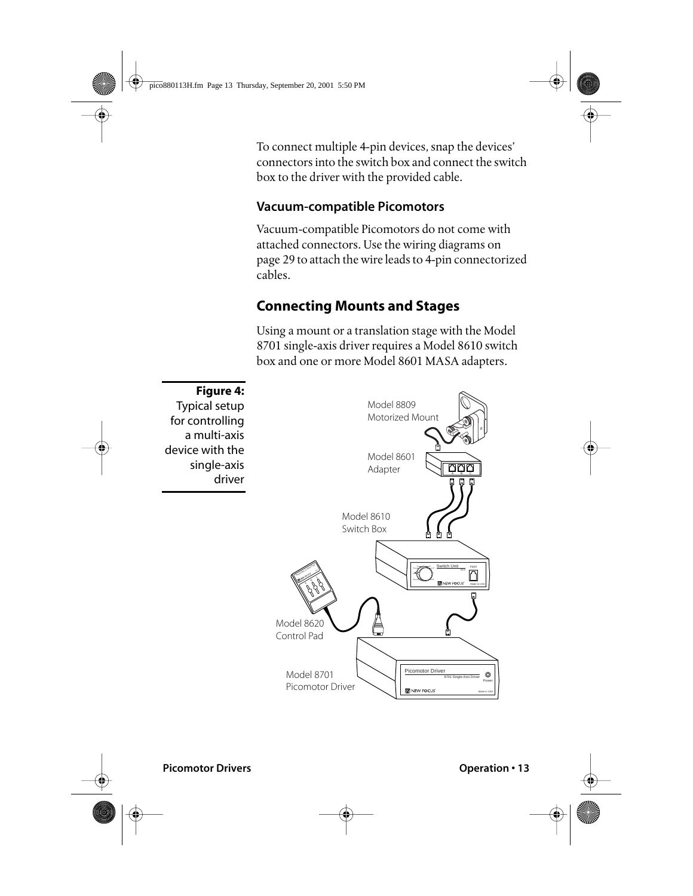<span id="page-12-0"></span>To connect multiple 4-pin devices, snap the devices' connectors into the switch box and connect the switch box to the driver with the provided cable.

#### **Vacuum-compatible Picomotors**

Vacuum-compatible Picomotors do not come with attached connectors. Use the wiring diagrams on [page 29](#page-28-0) to attach the wire leads to 4-pin connectorized cables.

## **Connecting Mounts and Stages**

Using a mount or a translation stage with the Model 8701 single-axis driver requires a Model 8610 switch box and one or more Model 8601 MASA adapters.

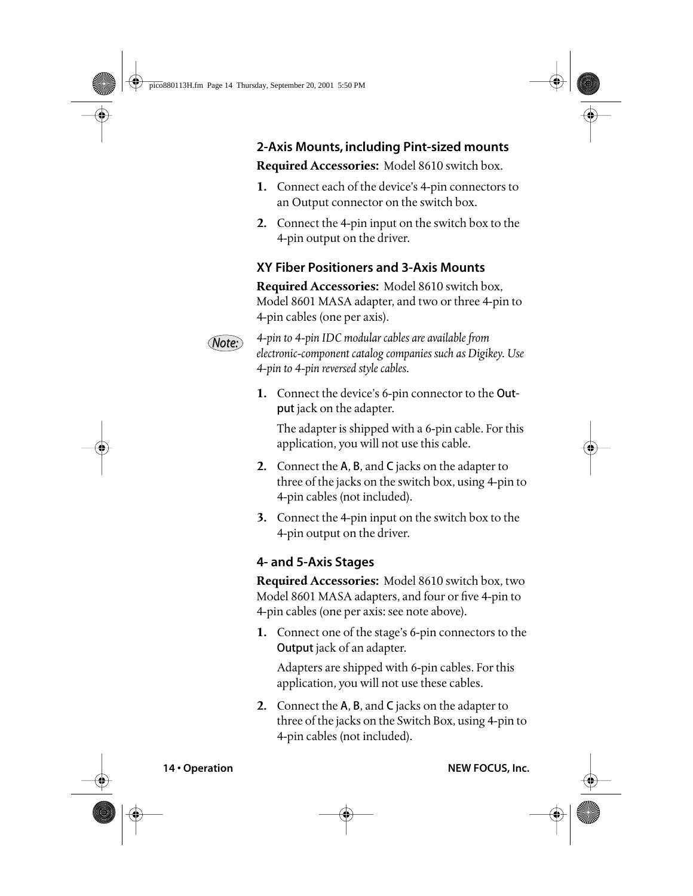### **2-Axis Mounts, including Pint-sized mounts Required Accessories:** Model 8610 switch box.

- **1.** Connect each of the device's 4-pin connectors to an Output connector on the switch box.
- **2.** Connect the 4-pin input on the switch box to the 4-pin output on the driver.

#### **XY Fiber Positioners and 3-Axis Mounts**

**Required Accessories:** Model 8610 switch box, Model 8601 MASA adapter, and two or three 4-pin to 4-pin cables (one per axis).



*4-pin to 4-pin IDC modular cables are available from electronic-component catalog companies such as Digikey. Use 4-pin to 4-pin reversed style cables.*

**1.** Connect the device's 6-pin connector to the Output jack on the adapter.

The adapter is shipped with a 6-pin cable. For this application, you will not use this cable.

- **2.** Connect the A, B, and C jacks on the adapter to three of the jacks on the switch box, using 4-pin to 4-pin cables (not included).
- **3.** Connect the 4-pin input on the switch box to the 4-pin output on the driver.

#### **4- and 5-Axis Stages**

**Required Accessories:** Model 8610 switch box, two Model 8601 MASA adapters, and four or five 4-pin to 4-pin cables (one per axis: see note above).

**1.** Connect one of the stage's 6-pin connectors to the Output jack of an adapter.

Adapters are shipped with 6-pin cables. For this application, you will not use these cables.

**2.** Connect the A, B, and C jacks on the adapter to three of the jacks on the Switch Box, using 4-pin to 4-pin cables (not included).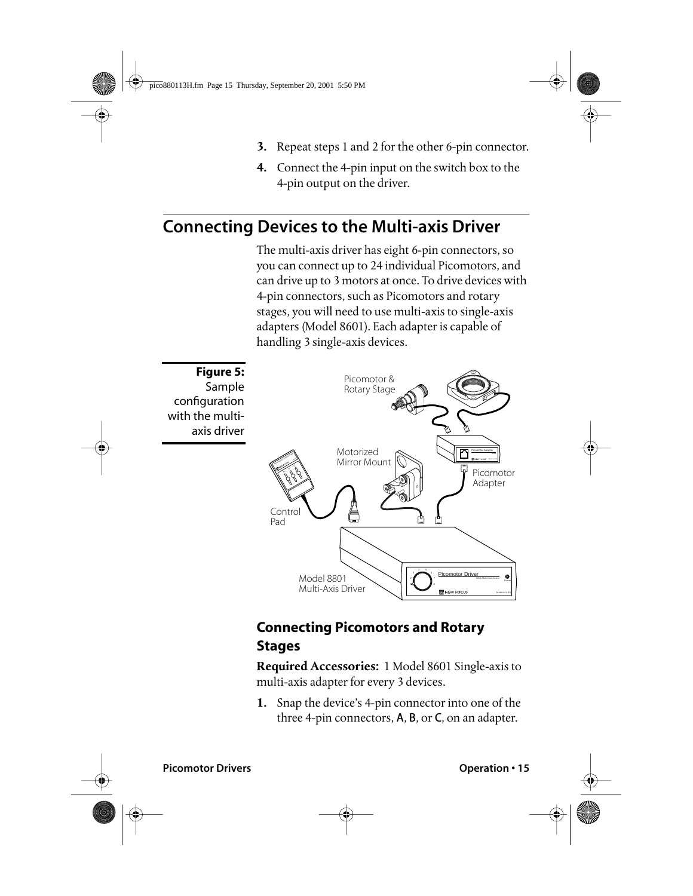- **3.** Repeat steps 1 and 2 for the other 6-pin connector.
- **4.** Connect the 4-pin input on the switch box to the 4-pin output on the driver.

## <span id="page-14-0"></span>**Connecting Devices to the Multi-axis Driver**

The multi-axis driver has eight 6-pin connectors, so you can connect up to 24 individual Picomotors, and can drive up to 3 motors at once. To drive devices with 4-pin connectors, such as Picomotors and rotary stages, you will need to use multi-axis to single-axis adapters (Model 8601). Each adapter is capable of handling 3 single-axis devices.



## **Connecting Picomotors and Rotary Stages**

**Required Accessories:** 1 Model 8601 Single-axis to multi-axis adapter for every 3 devices.

**1.** Snap the device's 4-pin connector into one of the three 4-pin connectors, A, B, or C, on an adapter.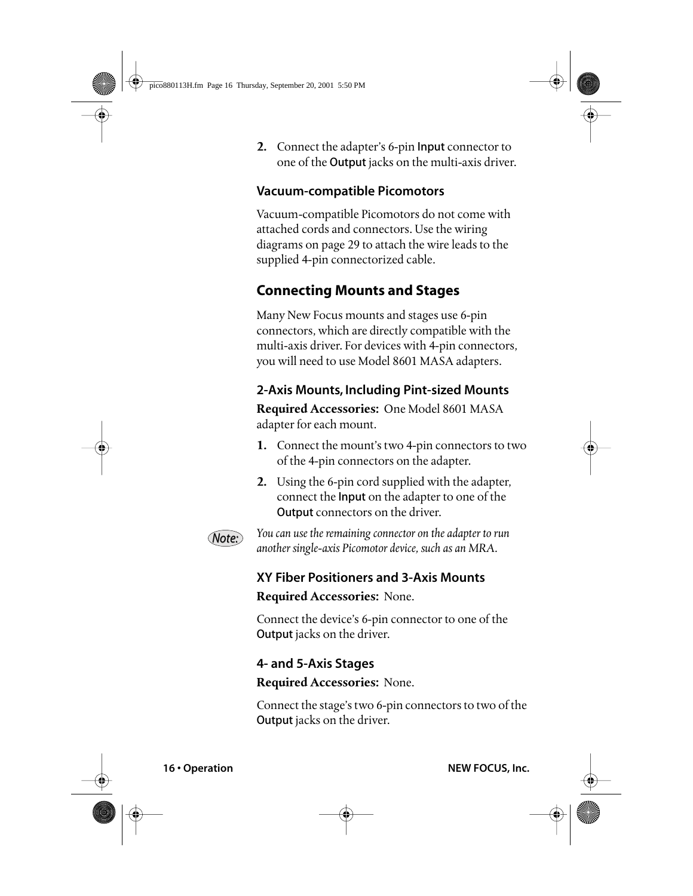**2.** Connect the adapter's 6-pin Input connector to one of the Output jacks on the multi-axis driver.

#### **Vacuum-compatible Picomotors**

Vacuum-compatible Picomotors do not come with attached cords and connectors. Use the wiring diagrams on [page 29](#page-28-0) to attach the wire leads to the supplied 4-pin connectorized cable.

## **Connecting Mounts and Stages**

Many New Focus mounts and stages use 6-pin connectors, which are directly compatible with the multi-axis driver. For devices with 4-pin connectors, you will need to use Model 8601 MASA adapters.

#### **2-Axis Mounts, Including Pint-sized Mounts**

**Required Accessories:** One Model 8601 MASA adapter for each mount.

- **1.** Connect the mount's two 4-pin connectors to two of the 4-pin connectors on the adapter.
- **2.** Using the 6-pin cord supplied with the adapter, connect the Input on the adapter to one of the Output connectors on the driver.



*You can use the remaining connector on the adapter to run another single-axis Picomotor device, such as an MRA.*

## **XY Fiber Positioners and 3-Axis Mounts Required Accessories:** None.

Connect the device's 6-pin connector to one of the Output jacks on the driver.

#### **4- and 5-Axis Stages Required Accessories:** None.

Connect the stage's two 6-pin connectors to two of the Output jacks on the driver.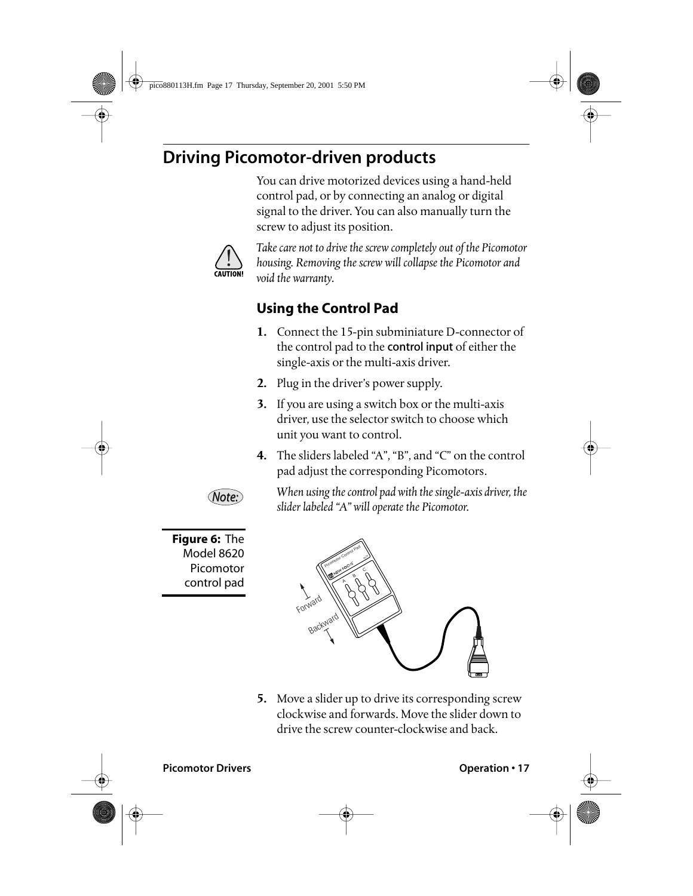# <span id="page-16-0"></span>**Driving Picomotor-driven products**

You can drive motorized devices using a hand-held control pad, or by connecting an analog or digital signal to the driver. You can also manually turn the screw to adjust its position.



*Take care not to drive the screw completely out of the Picomotor housing. Removing the screw will collapse the Picomotor and void the warranty.*

## **Using the Control Pad**

- **1.** Connect the 15-pin subminiature D-connector of the control pad to the control input of either the single-axis or the multi-axis driver.
- **2.** Plug in the driver's power supply.
- **3.** If you are using a switch box or the multi-axis driver, use the selector switch to choose which unit you want to control.

*slider labeled "A" will operate the Picomotor.* 

**4.** The sliders labeled "A", "B", and "C" on the control pad adjust the corresponding Picomotors.

*When using the control pad with the single-axis driver, the* 

*Note:*

**Figure 6:** The Model 8620 Picomotor control pad



**5.** Move a slider up to drive its corresponding screw clockwise and forwards. Move the slider down to drive the screw counter-clockwise and back.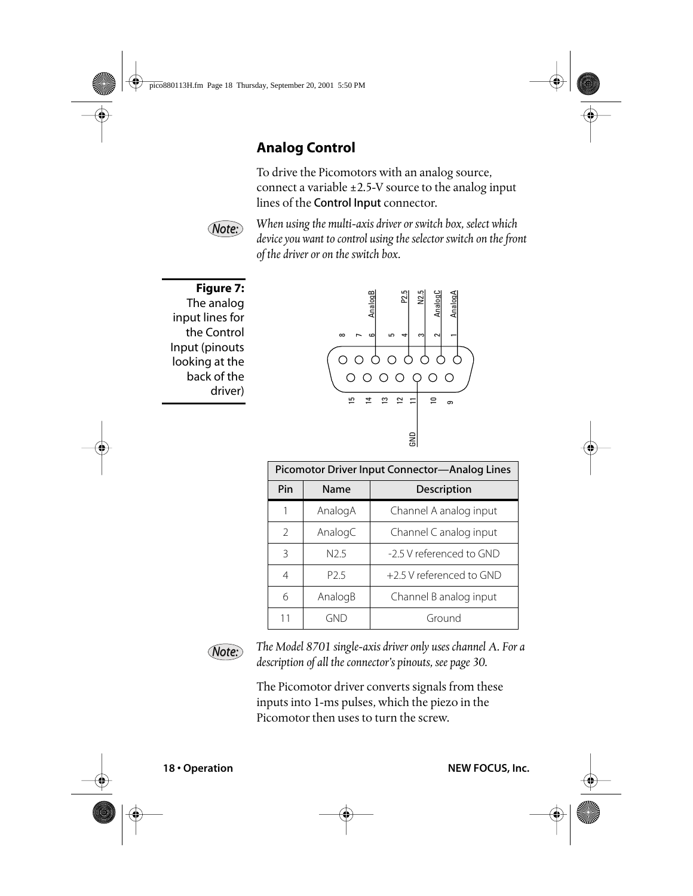## **Analog Control**

To drive the Picomotors with an analog source, connect a variable  $\pm 2.5$ -V source to the analog input lines of the Control Input connector.



*When using the multi-axis driver or switch box, select which device you want to control using the selector switch on the front of the driver or on the switch box.*

**Figure 7:** The analog input lines for the Control Input (pinouts looking at the back of the driver)



| AnalogB<br>P2.5<br>ร<br>25<br>AnalogC<br>AnalogA<br>ما<br>$\infty$<br>6<br>ω<br>$\sim$<br>4<br>0 0 0 0 0<br>000000<br>$\bigcirc$<br>$\bigcirc$<br>$\frac{m}{2}$ $\frac{m}{2}$<br>51<br>$\supseteq$<br>GND |                                              |                                               |  |  |
|-----------------------------------------------------------------------------------------------------------------------------------------------------------------------------------------------------------|----------------------------------------------|-----------------------------------------------|--|--|
|                                                                                                                                                                                                           |                                              | Picomotor Driver Input Connector-Analog Lines |  |  |
| Pin                                                                                                                                                                                                       | Name                                         | Description                                   |  |  |
| 1                                                                                                                                                                                                         | AnalogA                                      | Channel A analog input                        |  |  |
| 2                                                                                                                                                                                                         | AnalogC                                      | Channel C analog input                        |  |  |
| 3                                                                                                                                                                                                         | -2.5 V referenced to GND<br>N <sub>2.5</sub> |                                               |  |  |
| $\overline{4}$                                                                                                                                                                                            | P <sub>2.5</sub>                             | +2.5 V referenced to GND                      |  |  |
| 6                                                                                                                                                                                                         | AnalogB                                      | Channel B analog input                        |  |  |
| 11                                                                                                                                                                                                        | <b>GND</b>                                   | Ground                                        |  |  |



*The Model 8701 single-axis driver only uses channel A. For a description of all the connector's pinouts, see [page 30.](#page-29-0)*

The Picomotor driver converts signals from these inputs into 1-ms pulses, which the piezo in the Picomotor then uses to turn the screw.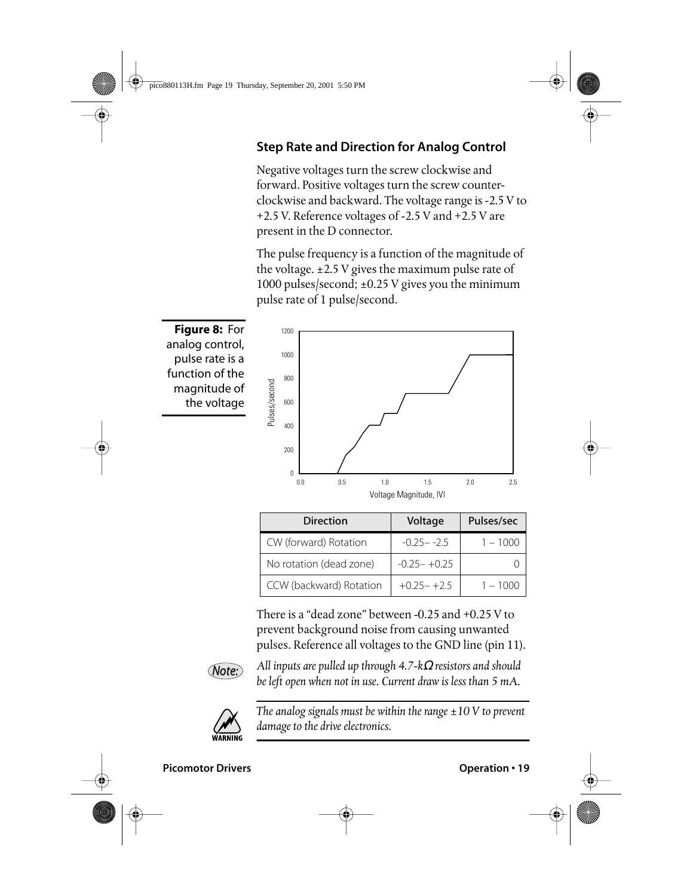### **Step Rate and Direction for Analog Control**

Negative voltages turn the screw clockwise and forward. Positive voltages turn the screw counterclockwise and backward. The voltage range is -2.5 V to +2.5 V. Reference voltages of -2.5 V and +2.5 V are present in the D connector.

The pulse frequency is a function of the magnitude of the voltage.  $\pm 2.5$  V gives the maximum pulse rate of 1000 pulses/second; ±0.25 V gives you the minimum pulse rate of 1 pulse/second.



**Figure 8:** For analog control, pulse rate is a function of the magnitude of the voltage

| <b>Direction</b>        | Voltage         | Pulses/sec |
|-------------------------|-----------------|------------|
| CW (forward) Rotation   | $-0.25 - -2.5$  | 1 – 1000   |
| No rotation (dead zone) | $-0.25 - +0.25$ |            |
| CCW (backward) Rotation | $+0.25-+2.5$    | $1 - 1000$ |

There is a "dead zone" between -0.25 and +0.25 V to prevent background noise from causing unwanted pulses. Reference all voltages to the GND line (pin 11).



*All inputs are pulled up through 4.7-k*Ω *resistors and should be left open when not in use. Current draw is less than 5 mA.*



*The analog signals must be within the range ±10 V to prevent damage to the drive electronics.*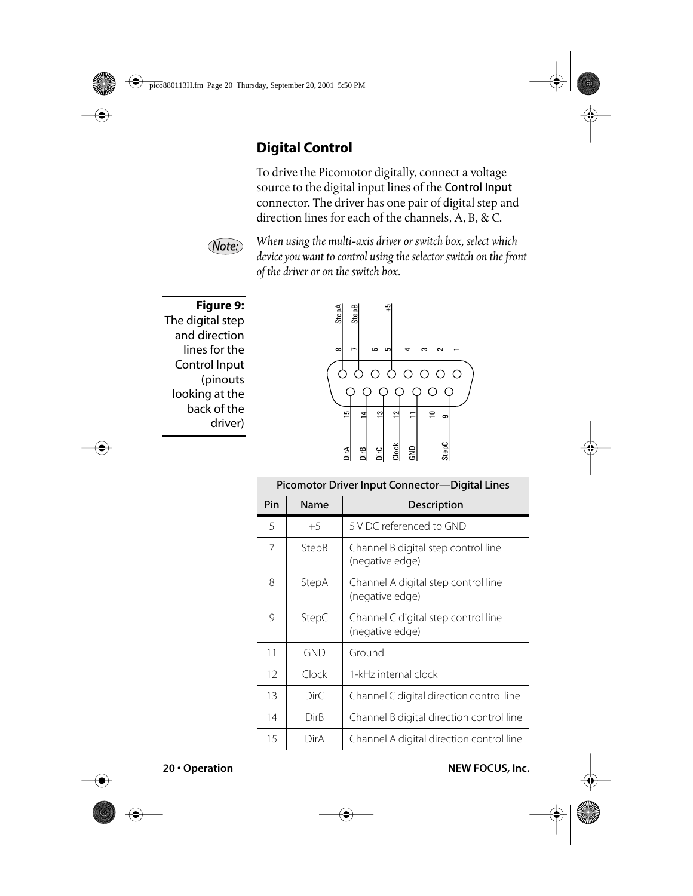## **Digital Control**

To drive the Picomotor digitally, connect a voltage source to the digital input lines of the Control Input connector. The driver has one pair of digital step and direction lines for each of the channels, A, B, & C.



*When using the multi-axis driver or switch box, select which device you want to control using the selector switch on the front of the driver or on the switch box.*

### **Figure 9:**

The digital step and direction lines for the Control Input (pinouts looking at the back of the driver)



| StepA<br>StepB<br>$\infty$<br>6<br>5<br>$\bigcirc$                                                            |             |                                                        |  |  |
|---------------------------------------------------------------------------------------------------------------|-------------|--------------------------------------------------------|--|--|
| 5<br>≘<br>ၜ<br>StepC<br>clocl<br>DirB<br>٩N<br>JirA<br>DirC<br>Picomotor Driver Input Connector-Digital Lines |             |                                                        |  |  |
| Pin                                                                                                           | Name        | Description                                            |  |  |
| 5                                                                                                             | $+5$        | 5 V DC referenced to GND                               |  |  |
| $\overline{7}$                                                                                                | StepB       | Channel B digital step control line<br>(negative edge) |  |  |
| 8                                                                                                             | StepA       | Channel A digital step control line<br>(negative edge) |  |  |
| 9                                                                                                             | StepC       | Channel C digital step control line<br>(negative edge) |  |  |
| 11                                                                                                            | <b>GND</b>  | Ground                                                 |  |  |
| 12                                                                                                            | Clock       | 1-kHz internal clock                                   |  |  |
| 13                                                                                                            | <b>DirC</b> | Channel C digital direction control line               |  |  |
| 14                                                                                                            | DirB        | Channel B digital direction control line               |  |  |
|                                                                                                               |             | Channel A digital direction control line               |  |  |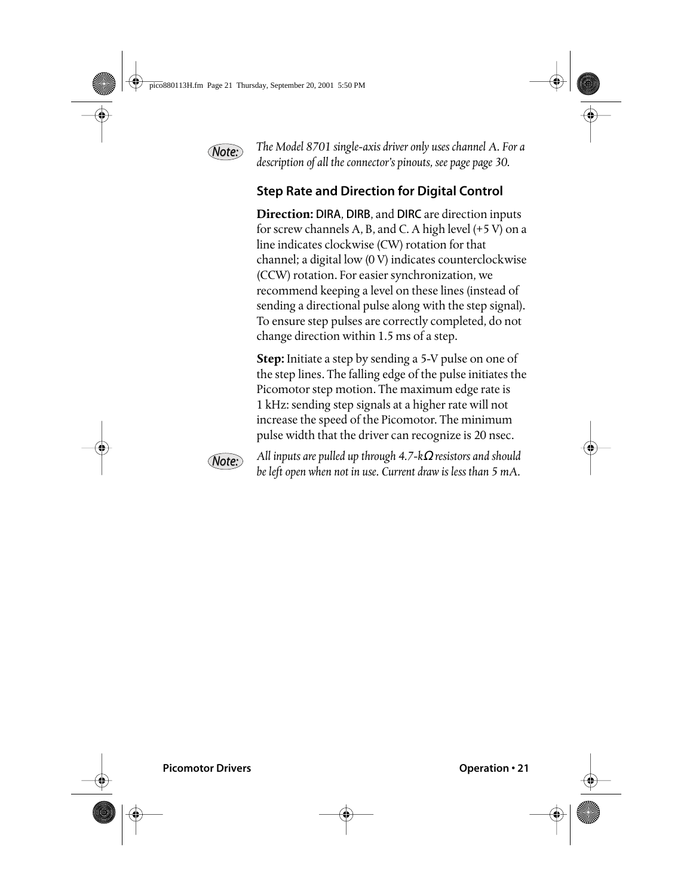

*The Model 8701 single-axis driver only uses channel A. For a description of all the connector's pinouts, see page [page 30.](#page-29-0)*

#### **Step Rate and Direction for Digital Control**

**Direction:** DIRA, DIRB, and DIRC are direction inputs for screw channels A, B, and C. A high level (+5 V) on a line indicates clockwise (CW) rotation for that channel; a digital low (0 V) indicates counterclockwise (CCW) rotation. For easier synchronization, we recommend keeping a level on these lines (instead of sending a directional pulse along with the step signal). To ensure step pulses are correctly completed, do not change direction within 1.5 ms of a step.

**Step:** Initiate a step by sending a 5-V pulse on one of the step lines. The falling edge of the pulse initiates the Picomotor step motion. The maximum edge rate is 1 kHz: sending step signals at a higher rate will not increase the speed of the Picomotor. The minimum pulse width that the driver can recognize is 20 nsec.



*All inputs are pulled up through 4.7-k*Ω *resistors and should be left open when not in use. Current draw is less than 5 mA.*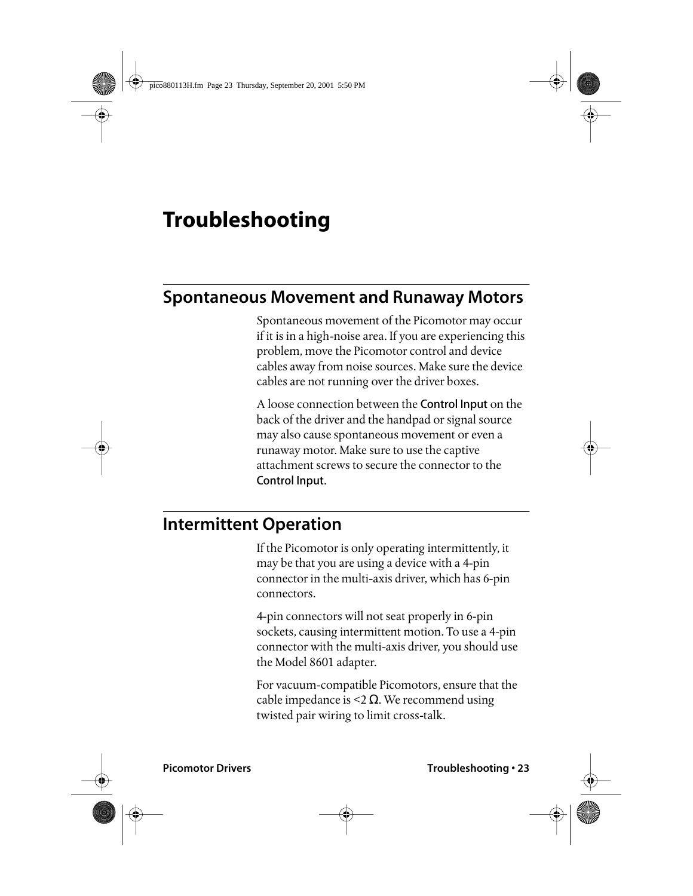# <span id="page-22-0"></span>**Troubleshooting**

## **Spontaneous Movement and Runaway Motors**

Spontaneous movement of the Picomotor may occur if it is in a high-noise area. If you are experiencing this problem, move the Picomotor control and device cables away from noise sources. Make sure the device cables are not running over the driver boxes.

A loose connection between the Control Input on the back of the driver and the handpad or signal source may also cause spontaneous movement or even a runaway motor. Make sure to use the captive attachment screws to secure the connector to the Control Input.

## **Intermittent Operation**

If the Picomotor is only operating intermittently, it may be that you are using a device with a 4-pin connector in the multi-axis driver, which has 6-pin connectors.

4-pin connectors will not seat properly in 6-pin sockets, causing intermittent motion. To use a 4-pin connector with the multi-axis driver, you should use the Model 8601 adapter.

For vacuum-compatible Picomotors, ensure that the cable impedance is <2  $\Omega$ . We recommend using twisted pair wiring to limit cross-talk.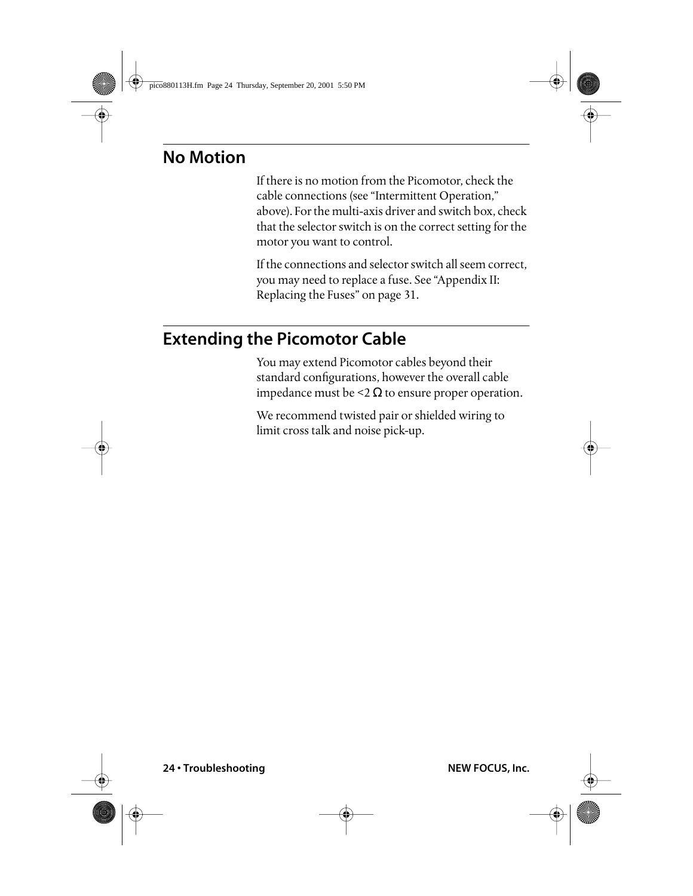# <span id="page-23-0"></span>**No Motion**

If there is no motion from the Picomotor, check the cable connections (see "Intermittent Operation," above). For the multi-axis driver and switch box, check that the selector switch is on the correct setting for the motor you want to control.

If the connections and selector switch all seem correct, you may need to replace a fuse. [See "Appendix II:](#page-30-0)  [Replacing the Fuses" on page 31.](#page-30-0)

## **Extending the Picomotor Cable**

You may extend Picomotor cables beyond their standard configurations, however the overall cable impedance must be <2 Ω to ensure proper operation.

We recommend twisted pair or shielded wiring to limit cross talk and noise pick-up.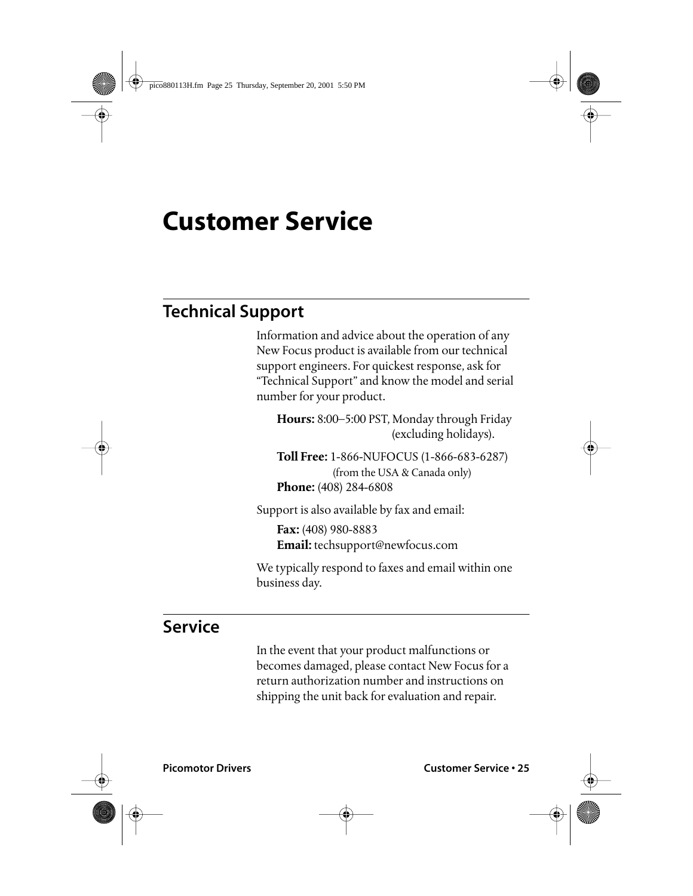# <span id="page-24-0"></span>**Customer Service**

## **Technical Support**

Information and advice about the operation of any New Focus product is available from our technical support engineers. For quickest response, ask for "Technical Support" and know the model and serial number for your product.

**Hours:** 8:00–5:00 PST, Monday through Friday (excluding holidays).

**Toll Free:** 1-866-NUFOCUS (1-866-683-6287) (from the USA & Canada only) **Phone:** (408) 284-6808

Support is also available by fax and email:

**Fax:** (408) 980-8883 **Email:** techsupport@newfocus.com

We typically respond to faxes and email within one business day.

# **Service**

In the event that your product malfunctions or becomes damaged, please contact New Focus for a return authorization number and instructions on shipping the unit back for evaluation and repair.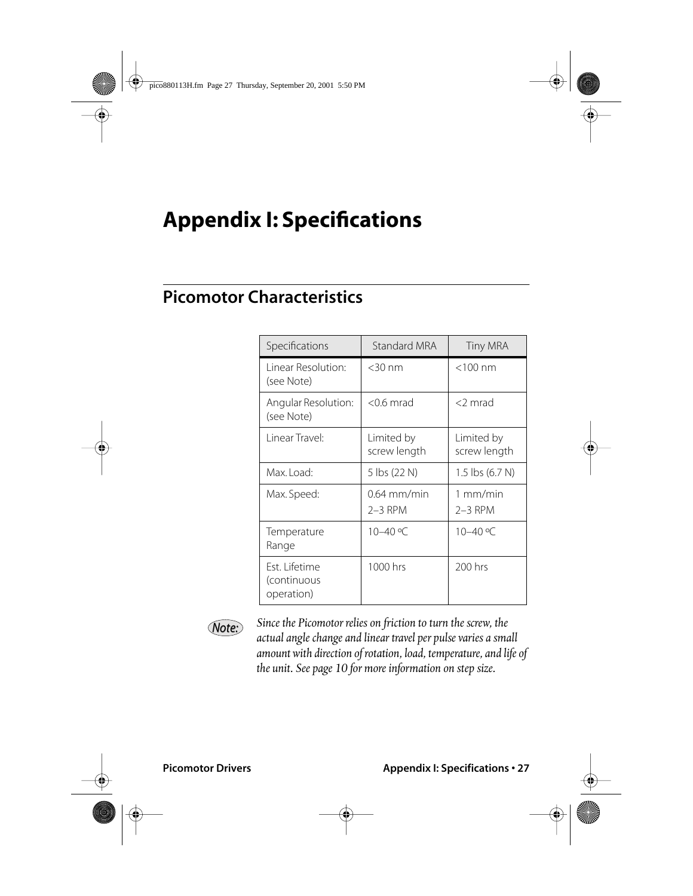# <span id="page-26-0"></span>**Appendix I: Specifications**

# **Picomotor Characteristics**

| Specifications                             | Standard MRA               | Tiny MRA                        |
|--------------------------------------------|----------------------------|---------------------------------|
| Linear Resolution:<br>(see Note)           | $<$ 30 nm                  | $<$ 100 nm                      |
| Angular Resolution:<br>(see Note)          | $<$ 0.6 mrad               | $<$ 2 mrad                      |
| Linear Travel:                             | Limited by<br>screw length | Limited by<br>screw length      |
| Max.Load:                                  | 5 lbs (22 N)               | 1.5 lbs (6.7 N)                 |
| Max. Speed:                                | $0.64$ mm/min<br>$2-3$ RPM | $1 \text{ mm/min}$<br>$2-3$ RPM |
| Temperature<br>Range                       | $10 - 40$ °C               | $10 - 40$ °C                    |
| Est. Lifetime<br>(continuous<br>operation) | 1000 hrs                   | 200 hrs                         |



*Since the Picomotor relies on friction to turn the screw, the actual angle change and linear travel per pulse varies a small amount with direction of rotation, load, temperature, and life of the unit. See [page 10](#page-9-0) for more information on step size.*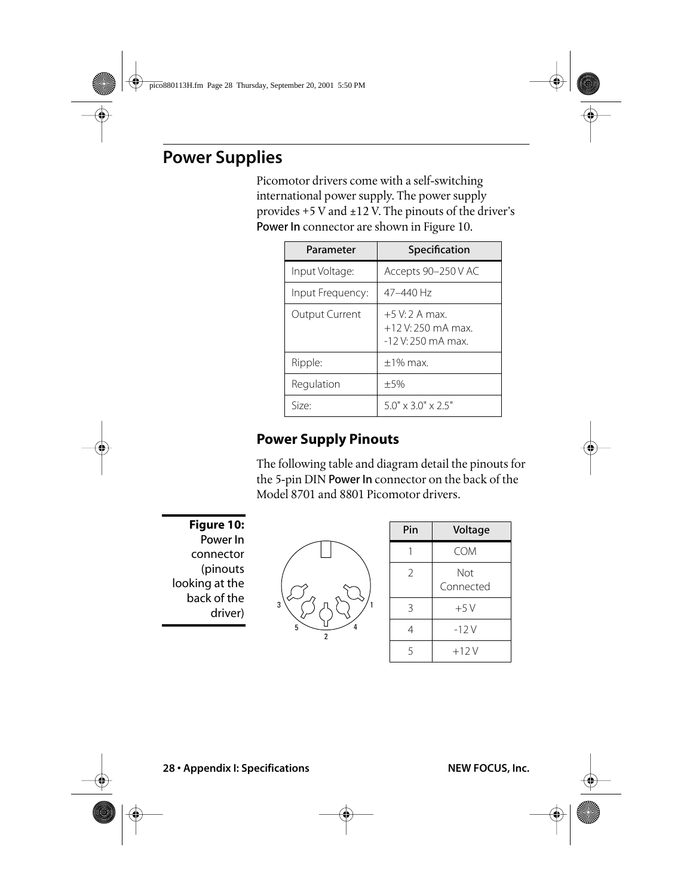# <span id="page-27-0"></span>**Power Supplies**

Picomotor drivers come with a self-switching international power supply. The power supply provides +5 V and ±12 V. The pinouts of the driver's Power In connector are shown in Figure 10.

| Parameter        | Specification                                                         |
|------------------|-----------------------------------------------------------------------|
| Input Voltage:   | Accepts 90-250 V AC                                                   |
| Input Frequency: | 47-440 Hz                                                             |
| Output Current   | $+5$ V $\cdot$ 2 A max<br>$+12$ V: 250 mA max<br>$-12$ V: 250 mA max. |
| Ripple:          | $+1\%$ max                                                            |
| Regulation       | $+5%$                                                                 |
| Size:            | $50" \times 30" \times 25"$                                           |

#### **Power Supply Pinouts**

The following table and diagram detail the pinouts for the 5-pin DIN Power In connector on the back of the Model 8701 and 8801 Picomotor drivers.

**Figure 10:** Power In connector (pinouts looking at the back of the driver)



| Pin | Voltage          |
|-----|------------------|
|     | COM              |
| 2   | Not<br>Connected |
| 3   | $+5V$            |
| 4   | $-12V$           |
| 5   | $+12V$           |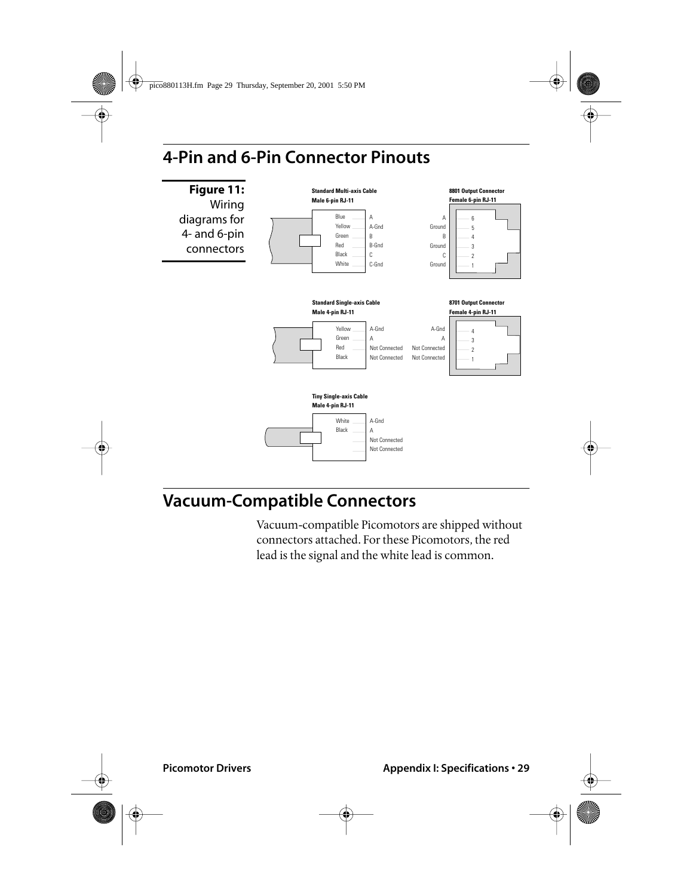

# <span id="page-28-0"></span>**4-Pin and 6-Pin Connector Pinouts**

## **Vacuum-Compatible Connectors**

Vacuum-compatible Picomotors are shipped without connectors attached. For these Picomotors, the red lead is the signal and the white lead is common.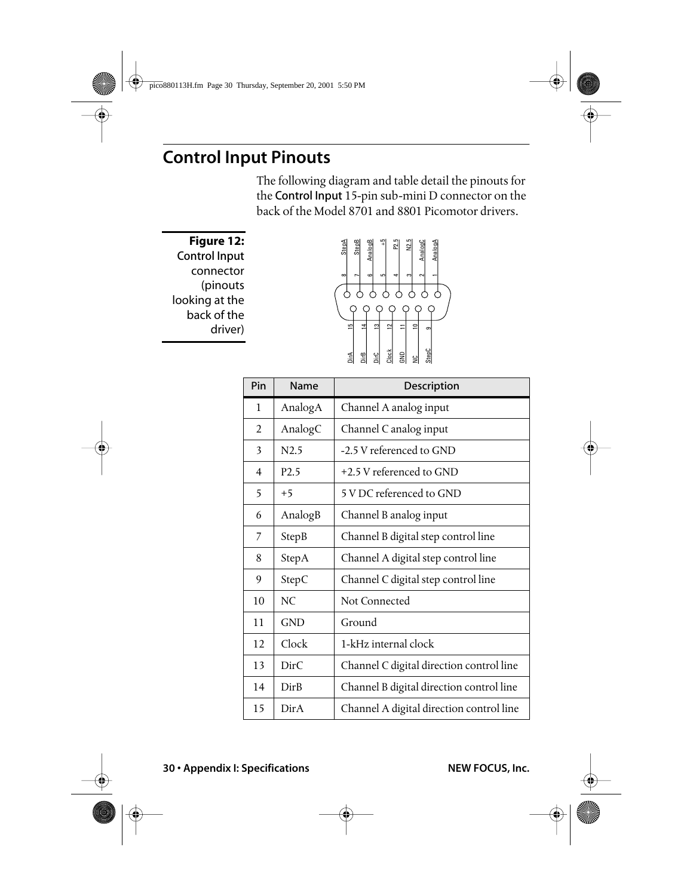# <span id="page-29-0"></span>**Control Input Pinouts**

The following diagram and table detail the pinouts for the Control Input 15-pin sub-mini D connector on the back of the Model 8701 and 8801 Picomotor drivers.

**Figure 12:** Control Input connector (pinouts looking at the back of the driver)



| Pin            | Name             | Description                              |
|----------------|------------------|------------------------------------------|
| 1              | AnalogA          | Channel A analog input                   |
| $\overline{2}$ | AnalogC          | Channel C analog input                   |
| 3              | N2.5             | -2.5 V referenced to GND                 |
| 4              | P <sub>2.5</sub> | +2.5 V referenced to GND                 |
| 5              | $+5$             | 5 V DC referenced to GND                 |
| 6              | AnalogB          | Channel B analog input                   |
| 7              | StepB            | Channel B digital step control line      |
| 8              | StepA            | Channel A digital step control line      |
| 9              | StepC            | Channel C digital step control line      |
| 10             | NC.              | Not Connected                            |
| 11             | <b>GND</b>       | Ground                                   |
| 12             | Clock            | 1-kHz internal clock                     |
| 13             | Dir <sub>C</sub> | Channel C digital direction control line |
| 14             | DirB             | Channel B digital direction control line |
| 15             | DirA             | Channel A digital direction control line |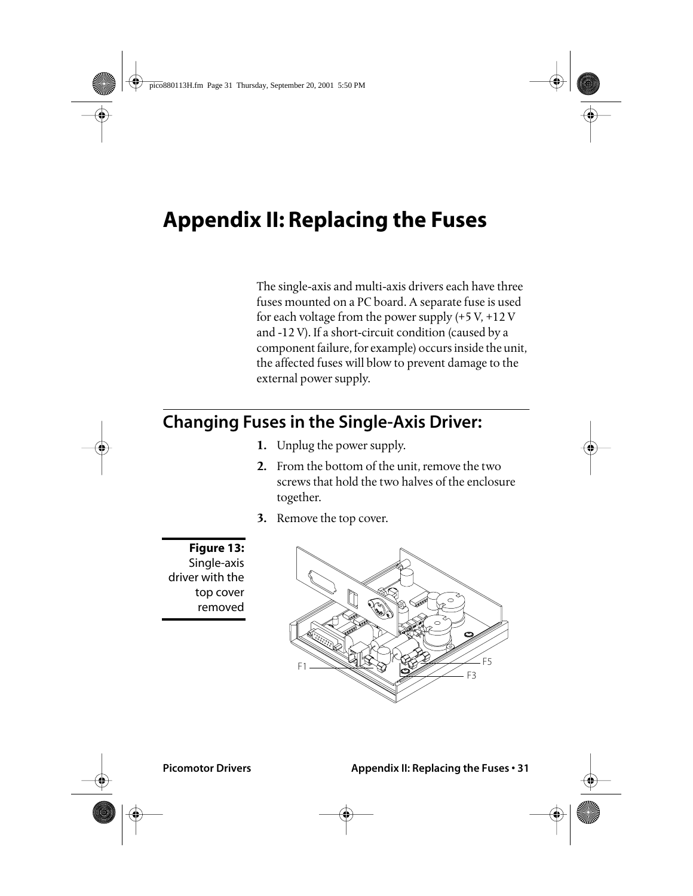# <span id="page-30-0"></span>**Appendix II: Replacing the Fuses**

The single-axis and multi-axis drivers each have three fuses mounted on a PC board. A separate fuse is used for each voltage from the power supply (+5 V, +12 V and -12 V). If a short-circuit condition (caused by a component failure, for example) occurs inside the unit, the affected fuses will blow to prevent damage to the external power supply.

## **Changing Fuses in the Single-Axis Driver:**

- **1.** Unplug the power supply.
- **2.** From the bottom of the unit, remove the two screws that hold the two halves of the enclosure together.
- **3.** Remove the top cover.

**Figure 13:** Single-axis driver with the top cover removed

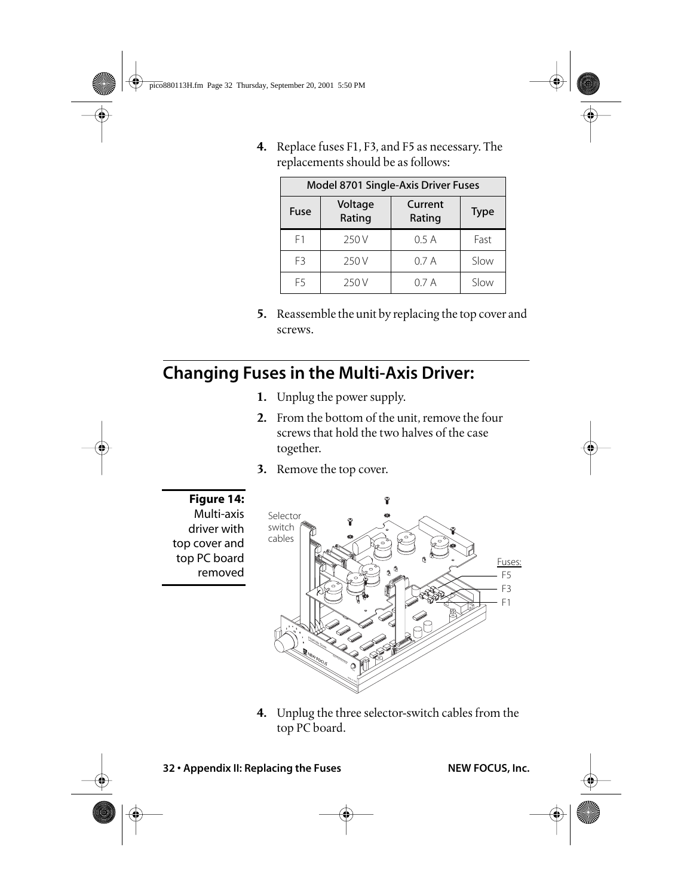| Model 8701 Single-Axis Driver Fuses |                   |                   |             |
|-------------------------------------|-------------------|-------------------|-------------|
| Fuse                                | Voltage<br>Rating | Current<br>Rating | <b>Type</b> |
| F1                                  | 250 V             | 0.5A              | Fast        |
| F <sub>3</sub>                      | 250 V             | 0.7A              | Slow        |
| F5                                  | 250 V             | 0.7A              | Slow        |

<span id="page-31-0"></span>**4.** Replace fuses F1, F3, and F5 as necessary. The replacements should be as follows:

**5.** Reassemble the unit by replacing the top cover and screws.

# **Changing Fuses in the Multi-Axis Driver:**

- **1.** Unplug the power supply.
- **2.** From the bottom of the unit, remove the four screws that hold the two halves of the case together.
- **3.** Remove the top cover.



**4.** Unplug the three selector-switch cables from the top PC board.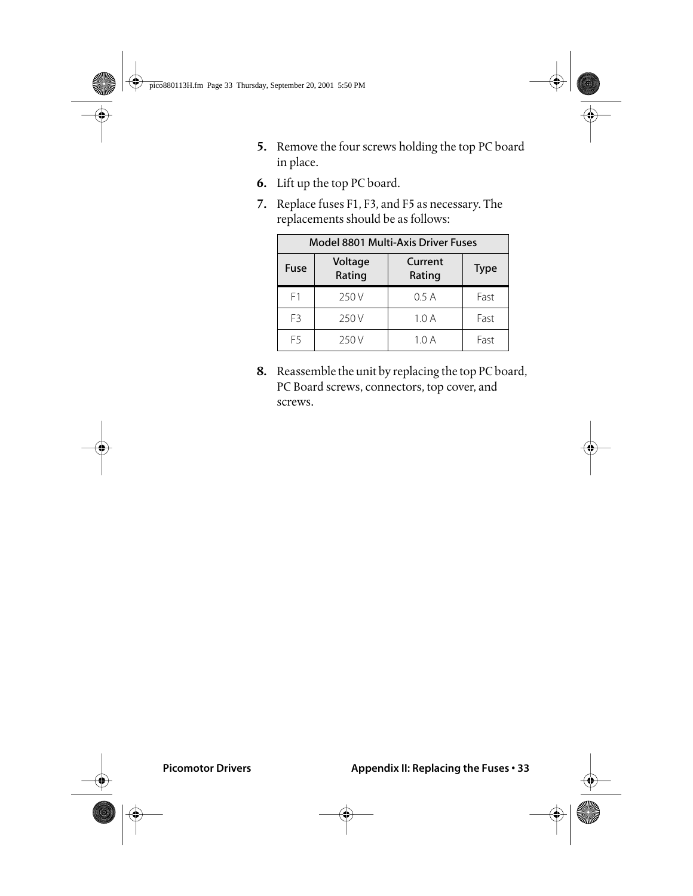- **5.** Remove the four screws holding the top PC board in place.
- **6.** Lift up the top PC board.
- **7.** Replace fuses F1, F3, and F5 as necessary. The replacements should be as follows:

| Model 8801 Multi-Axis Driver Fuses |                   |                   |             |
|------------------------------------|-------------------|-------------------|-------------|
| Fuse                               | Voltage<br>Rating | Current<br>Rating | <b>Type</b> |
| F1                                 | 250 V             | 0.5A              | Fast        |
| F <sub>3</sub>                     | 250 V             | 1.0A              | Fast        |
| F5                                 | 250 V             | 1.0A              | Fast        |

**8.** Reassemble the unit by replacing the top PC board, PC Board screws, connectors, top cover, and screws.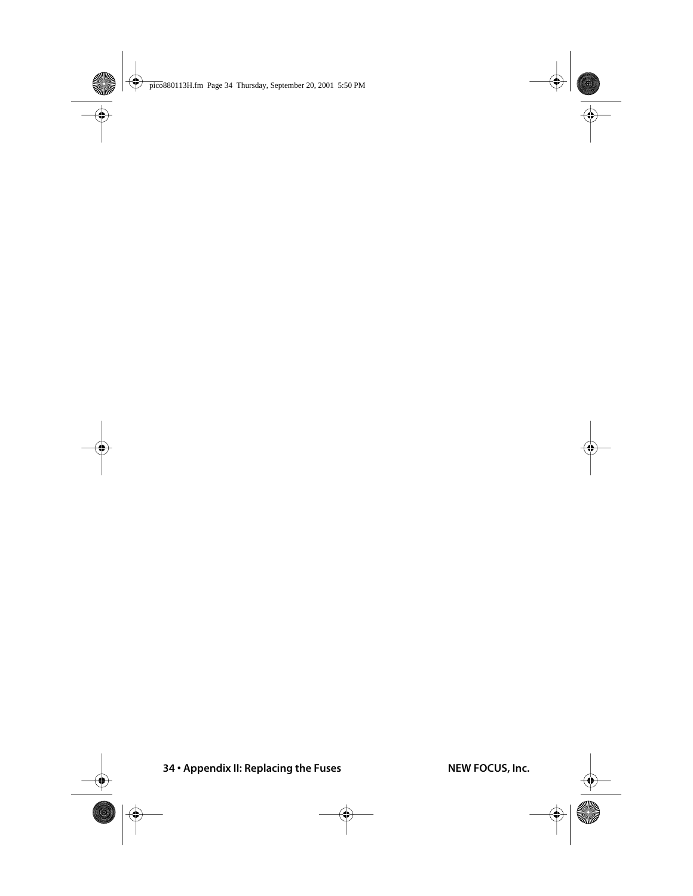**34 • Appendix II: Replacing the Fuses NEW FOCUS, Inc.**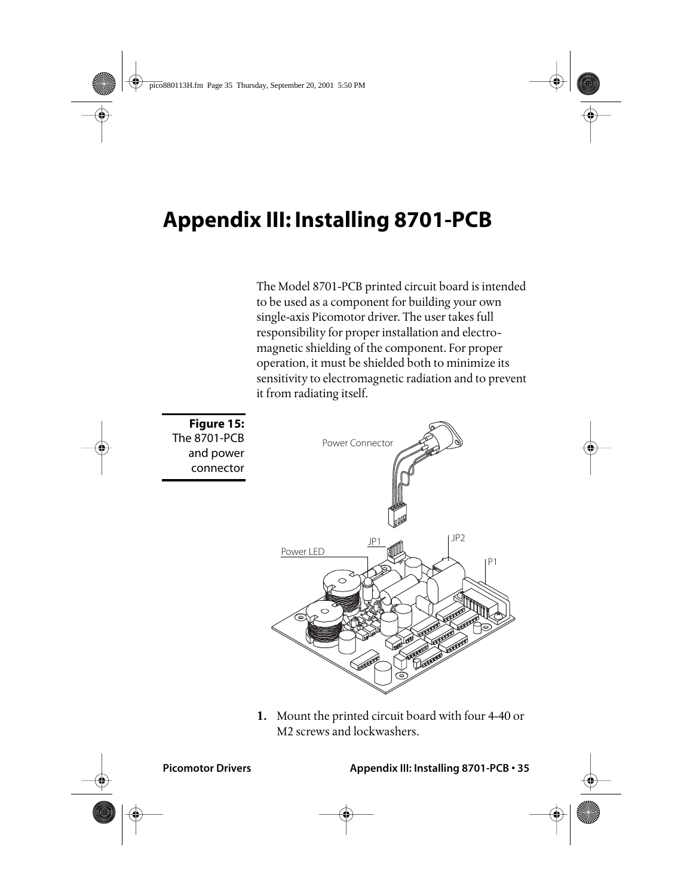# <span id="page-34-0"></span>**Appendix III: Installing 8701-PCB**

The Model 8701-PCB printed circuit board is intended to be used as a component for building your own single-axis Picomotor driver. The user takes full responsibility for proper installation and electromagnetic shielding of the component. For proper operation, it must be shielded both to minimize its sensitivity to electromagnetic radiation and to prevent it from radiating itself.

**Figure 15:** The 8701-PCB Power Connector and power connector  $JPI$   $\epsilon$   $JPP2$ Power LED P1 **JP1 BOO** 

> **1.** Mount the printed circuit board with four 4-40 or M2 screws and lockwashers.